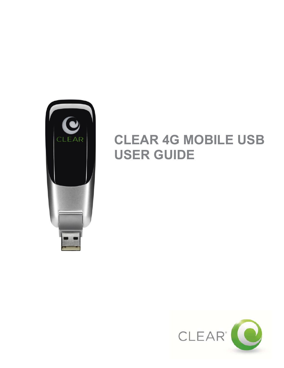

# **CLEAR 4G MOBILE USB USER GUIDE**

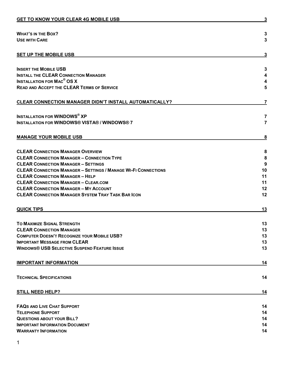| <b>WHAT'S IN THE BOX?</b><br><b>USE WITH CARE</b>                     | 3<br>3         |
|-----------------------------------------------------------------------|----------------|
| <b>SET UP THE MOBILE USB</b>                                          | 3              |
| <b>INSERT THE MOBILE USB</b>                                          | 3              |
| <b>INSTALL THE CLEAR CONNECTION MANAGER</b>                           | 4              |
| <b>INSTALLATION FOR MAC<sup>®</sup> OS X</b>                          | 4              |
| <b>READ AND ACCEPT THE CLEAR TERMS OF SERVICE</b>                     | 5              |
| <b>CLEAR CONNECTION MANAGER DIDN'T INSTALL AUTOMATICALLY?</b>         | 7              |
| <b>INSTALLATION FOR WINDOWS® XP</b>                                   | 7              |
| <b>INSTALLATION FOR WINDOWS® VISTA® / WINDOWS® 7</b>                  | $\overline{7}$ |
| <b>MANAGE YOUR MOBILE USB</b>                                         | <u>8</u>       |
| <b>CLEAR CONNECTION MANAGER OVERVIEW</b>                              | 8              |
| <b>CLEAR CONNECTION MANAGER - CONNECTION TYPE</b>                     | 8              |
| <b>CLEAR CONNECTION MANAGER - SETTINGS</b>                            | 9              |
| <b>CLEAR CONNECTION MANAGER - SETTINGS / MANAGE WI-FI CONNECTIONS</b> | 10             |
| <b>CLEAR CONNECTION MANAGER - HELP</b>                                | 11             |
| <b>CLEAR CONNECTION MANAGER - CLEAR.COM</b>                           | 11             |
| <b>CLEAR CONNECTION MANAGER - MY ACCOUNT</b>                          | 12             |
| <b>CLEAR CONNECTION MANAGER SYSTEM TRAY TASK BAR ICON</b>             | 12             |
| <b>QUICK TIPS</b>                                                     | 13             |
| <b>TO MAXIMIZE SIGNAL STRENGTH</b>                                    | 13             |
| <b>CLEAR CONNECTION MANAGER</b>                                       | 13             |
| <b>COMPUTER DOESN'T RECOGNIZE YOUR MOBILE USB?</b>                    | 13             |
| <b>IMPORTANT MESSAGE FROM CLEAR</b>                                   | 13             |
| <b>WINDOWS® USB SELECTIVE SUSPEND FEATURE ISSUE</b>                   | 13             |
| <b>IMPORTANT INFORMATION</b>                                          | <u>14</u>      |
| <b>TECHNICAL SPECIFICATIONS</b>                                       | 14             |
| <b>STILL NEED HELP?</b>                                               | 14             |
| <b>FAQS AND LIVE CHAT SUPPORT</b>                                     | 14             |
| <b>TELEPHONE SUPPORT</b>                                              | 14             |
| <b>QUESTIONS ABOUT YOUR BILL?</b>                                     | 14             |
| <b>IMPORTANT INFORMATION DOCUMENT</b>                                 | 14             |
| <b>WARRANTY INFORMATION</b>                                           | 14             |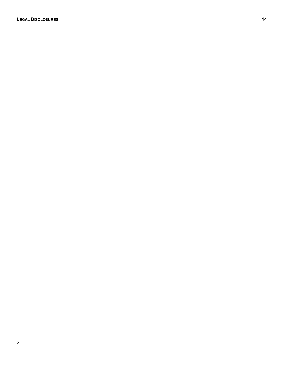**LEGAL D[ISCLOSURES](#page-14-8) 14**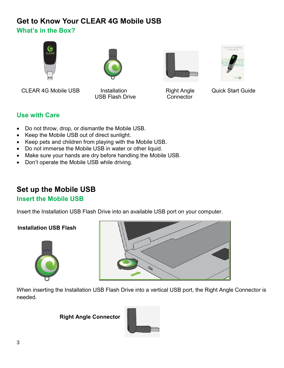# <span id="page-3-1"></span><span id="page-3-0"></span>**Get to Know Your CLEAR 4G Mobile USB What's in the Box?**









CLEAR 4G Mobile USB Installation **Installation** Right Angle Quick Start Guide

USB Flash Drive Connector

<span id="page-3-2"></span>

- Do not throw, drop, or dismantle the Mobile USB.
- Keep the Mobile USB out of direct sunlight.
- Keep pets and children from playing with the Mobile USB.
- Do not immerse the Mobile USB in water or other liquid.
- Make sure your hands are dry before handling the Mobile USB.
- Don't operate the Mobile USB while driving.

# <span id="page-3-3"></span>**Set up the Mobile USB**

#### <span id="page-3-4"></span>**Insert the Mobile USB**

Insert the Installation USB Flash Drive into an available USB port on your computer.

#### **Installation USB Flash**





When inserting the Installation USB Flash Drive into a vertical USB port, the Right Angle Connector is needed.

**Right Angle Connector** 

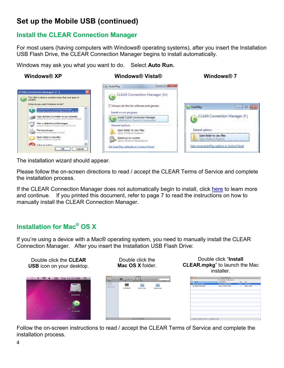# **Set up the Mobile USB (continued)**

#### <span id="page-4-0"></span>**Install the CLEAR Connection Manager**

For most users (having computers with Windows® operating systems), after you insert the Installation USB Flash Drive, the CLEAR Connection Manager begins to install automatically.

Windows may ask you what you want to do. Select **Auto Run.** 

 **Windows® XP Windows® Vista® Windows® 7** 



The installation wizard should appear.

Please follow the on-screen directions to read / accept the CLEAR Terms of Service and complete the installation process.

If the CLEAR Connection Manager does not automatically begin to install, click [here](#page-6-0) to learn more and continue. If you printed this document, refer to page 7 to read the instructions on how to manually install the CLEAR Connection Manager.

# <span id="page-4-1"></span>**Installation for Mac® OS X**

If you're using a device with a Mac® operating system, you need to manually install the CLEAR Connection Manager. After you insert the Installation USB Flash Drive:



Follow the on-screen instructions to read / accept the CLEAR Terms of Service and complete the installation process.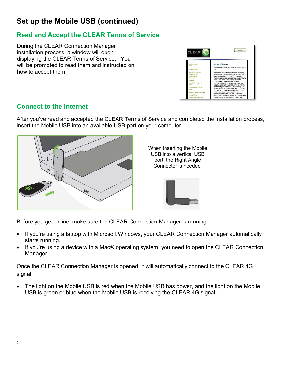# **Set up the Mobile USB (continued)**

### <span id="page-5-0"></span>**Read and Accept the CLEAR Terms of Service**

During the CLEAR Connection Manager installation process, a window will open displaying the CLEAR Terms of Service. You will be prompted to read them and instructed on how to accept them.



### **Connect to the Internet**

After you've read and accepted the CLEAR Terms of Service and completed the installation process, insert the Mobile USB into an available USB port on your computer.



When inserting the Mobile USB into a vertical USB port, the Right Angle Connector is needed.



Before you get online, make sure the CLEAR Connection Manager is running.

- If you're using a laptop with Microsoft Windows, your CLEAR Connection Manager automatically starts running.
- If you're using a device with a Mac® operating system, you need to open the CLEAR Connection Manager.

Once the CLEAR Connection Manager is opened, it will automatically connect to the CLEAR 4G signal.

 The light on the Mobile USB is red when the Mobile USB has power, and the light on the Mobile USB is green or blue when the Mobile USB is receiving the CLEAR 4G signal.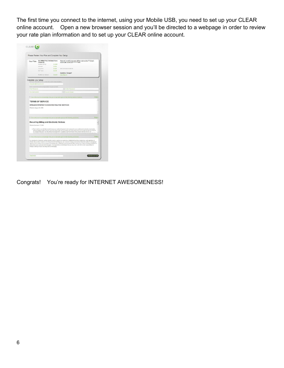The first time you connect to the internet, using your Mobile USB, you need to set up your CLEAR online account. Open a new browser session and you'll be directed to a webpage in order to review your rate plan information and to set up your CLEAR online account.

|                             | Please Review Your Plan and Complete Your Setup                |         |                                                                                                                                                                                                                                                                                                                                                                                                            |         |
|-----------------------------|----------------------------------------------------------------|---------|------------------------------------------------------------------------------------------------------------------------------------------------------------------------------------------------------------------------------------------------------------------------------------------------------------------------------------------------------------------------------------------------------------|---------|
| Your Plan:                  | XX WiMAX Pick 2 Unlimited Home<br>Internet (2)                 |         | Automatic monthly payments will be made on the 1st of each<br>month with credit card ************111.                                                                                                                                                                                                                                                                                                      |         |
|                             | Monthly Service                                                | \$32.50 |                                                                                                                                                                                                                                                                                                                                                                                                            |         |
|                             | Divisions:                                                     | 50.00   |                                                                                                                                                                                                                                                                                                                                                                                                            |         |
|                             | L'égrie Feis'                                                  | \$0.00  | MAC 83 00/23/6243 0F:50                                                                                                                                                                                                                                                                                                                                                                                    |         |
|                             | Fed. Tsope                                                     | \$8.14  |                                                                                                                                                                                                                                                                                                                                                                                                            |         |
|                             |                                                                |         | Questions, Changes?                                                                                                                                                                                                                                                                                                                                                                                        |         |
|                             | Monthly Est, Subtotal                                          | 588.63  | Live Charas                                                                                                                                                                                                                                                                                                                                                                                                |         |
| Complete your setup:        |                                                                |         |                                                                                                                                                                                                                                                                                                                                                                                                            |         |
|                             | Einer your email address for CLEAR hotices and communications. |         |                                                                                                                                                                                                                                                                                                                                                                                                            |         |
| interredentsplannerer@com   |                                                                |         |                                                                                                                                                                                                                                                                                                                                                                                                            |         |
|                             | Salect a password and security question for your account.      |         |                                                                                                                                                                                                                                                                                                                                                                                                            |         |
| Emer Password               |                                                                |         | Costim Password                                                                                                                                                                                                                                                                                                                                                                                            |         |
| Security Goeston            |                                                                |         | Security Anniver                                                                                                                                                                                                                                                                                                                                                                                           |         |
|                             |                                                                |         |                                                                                                                                                                                                                                                                                                                                                                                                            |         |
|                             | WIRELESS INTERNET ACCESS AND RELATED SERVICES                  |         |                                                                                                                                                                                                                                                                                                                                                                                                            |         |
| Effective August 30, 2010   |                                                                |         |                                                                                                                                                                                                                                                                                                                                                                                                            |         |
|                             |                                                                |         |                                                                                                                                                                                                                                                                                                                                                                                                            |         |
|                             |                                                                |         | ET Check this box to scknowledge that you've read and agree to the following provisions.                                                                                                                                                                                                                                                                                                                   | Print > |
|                             | <b>Recurring Billing and Electronic Notices</b>                |         |                                                                                                                                                                                                                                                                                                                                                                                                            |         |
| Effective December 17, 2009 |                                                                |         |                                                                                                                                                                                                                                                                                                                                                                                                            |         |
|                             |                                                                |         | . Each month on your bill date, we will charge your method of payment (a) in advance for your monthly service plan fee (covering the<br>next succeeding month of service), plus associated taxes and surcharges; and (b) in anears for (i) any usage and calls not covered<br>by your plan rate and (ii) any late and/or subpension fres. In addition, upon termination of your senioe dor any reason), we |         |
|                             |                                                                |         | ET-Check-this box to acknowledge that you've read and agree to the following provisions.                                                                                                                                                                                                                                                                                                                   | Print » |

<span id="page-6-0"></span>Congrats! You're ready for INTERNET AWESOMENESS!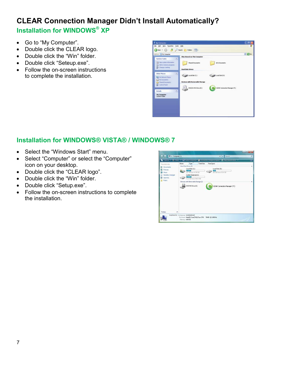# <span id="page-7-1"></span><span id="page-7-0"></span>**CLEAR Connection Manager Didn't Install Automatically? Installation for WINDOWS® XP**

- Go to "My Computer".
- Double click the CLEAR logo.
- Double click the "Win" folder.
- Double click "Seteup.exe".
- Follow the on-screen instructions to complete the installation.

| Book + C Book Search                                                                                                                        | Folders [111] -                                                                        |        |
|---------------------------------------------------------------------------------------------------------------------------------------------|----------------------------------------------------------------------------------------|--------|
| Agains & My Campular                                                                                                                        |                                                                                        | $= 60$ |
| $\mathbf{R}$<br>Svidna Tasks<br>all View system information<br>15 Add or newche programs                                                    | <b>Film Stored on This Computer</b><br>Shared Documents<br>dr's Documents              |        |
| <b>D</b> Chings a setting<br>$\left\vert \mathbf{2}\right\rangle$<br><b>Other Places</b><br>CJ W Network Places<br><b>IF'S MirDoounents</b> | <b>Hard Disk Drives</b><br>LocalDisk (C)<br><b>D</b> Local Disk (D)                    |        |
| Sheed Diomests<br><b>Control Panel</b><br> a <br>Details<br><b>My Computer</b>                                                              | Devices with Removable Stonge<br>DVD/CD-RW Drive (E:)<br>CLEAR Connection Manager (Pt) |        |
| System Folder                                                                                                                               |                                                                                        |        |
|                                                                                                                                             |                                                                                        |        |

### <span id="page-7-2"></span>**Installation for WINDOWS® VISTA® / WINDOWS® 7**

- Select the "Windows Start" menu.
- Select "Computer" or select the "Computer" icon on your desktop.
- Double click the "CLEAR logo".
- Double click the "Win" folder.
- Double click "Setup.exe".
- Follow the on-screen instructions to complete the installation.

|                                                                                                                 | Cincret with Views on 29 system properties<br>and United its change a program and filep retwice their and                                                                                                                                                                                                         | Œ.     |
|-----------------------------------------------------------------------------------------------------------------|-------------------------------------------------------------------------------------------------------------------------------------------------------------------------------------------------------------------------------------------------------------------------------------------------------------------|--------|
| Favorite Links<br>Documents:<br><b>Bichurea</b><br>Music <sup>1</sup><br>Recently Changed<br>Searches<br>Public | Total Size<br>Name<br>Type<br>Free Space<br>Hard Disk Drives (3)<br>Legal Disk (Cr)<br>Local Disk (Dr)<br>111 GB free of 149 GB<br>362 GB free of 314 GB<br>System Reserved (Fi)<br>71.8 KW New of 99.9 MS<br>Devices with Removable Storage (2)<br><b>COLD DVD RW Drive (E)</b><br>CLEAR Connection Nanager (P.) | ۸<br>۸ |
| Felders<br>٠                                                                                                    |                                                                                                                                                                                                                                                                                                                   |        |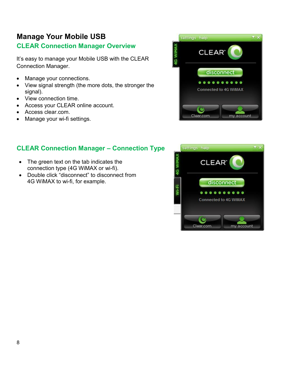# <span id="page-8-0"></span>**Manage Your Mobile USB**

# <span id="page-8-1"></span>**CLEAR Connection Manager Overview**

It's easy to manage your Mobile USB with the CLEAR Connection Manager.

- Manage your connections.
- View signal strength (the more dots, the stronger the signal).
- View connection time.
- Access your CLEAR online account.
- $\bullet$ Access clear.com.
- Manage your wi-fi settings.



#### <span id="page-8-2"></span>**CLEAR Connection Manager – Connection Type**

- The green text on the tab indicates the connection type (4G WiMAX or wi-fi).
- Double click "disconnect" to disconnect from 4G WiMAX to wi-fi, for example.

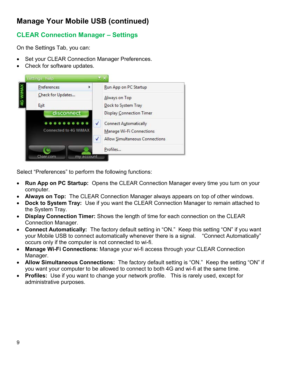# <span id="page-9-0"></span>**CLEAR Connection Manager – Settings**

On the Settings Tab, you can:

- Set your CLEAR Connection Manager Preferences.
- Check for software updates.



Select "Preferences" to perform the following functions:

- **Run App on PC Startup:** Opens the CLEAR Connection Manager every time you turn on your computer.
- **Always on Top:** The CLEAR Connection Manager always appears on top of other windows.
- **Dock to System Tray:** Use if you want the CLEAR Connection Manager to remain attached to the System Tray.
- **Display Connection Timer:** Shows the length of time for each connection on the CLEAR Connection Manager.
- **Connect Automatically:** The factory default setting in "ON." Keep this setting "ON" if you want your Mobile USB to connect automatically whenever there is a signal. "Connect Automatically" occurs only if the computer is not connected to wi-fi.
- **Manage Wi-Fi Connections:** Manage your wi-fi access through your CLEAR Connection Manager.
- **Allow Simultaneous Connections:** The factory default setting is "ON." Keep the setting "ON" if you want your computer to be allowed to connect to both 4G and wi-fi at the same time.
- **Profiles:** Use if you want to change your network profile. This is rarely used, except for administrative purposes.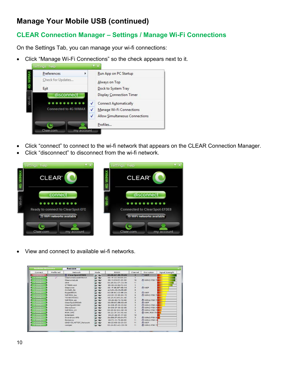# <span id="page-10-0"></span>**CLEAR Connection Manager – Settings / Manage Wi-Fi Connections**

On the Settings Tab, you can manage your wi-fi connections:

Click "Manage Wi-Fi Connections" so the check appears next to it.



- Click "connect" to connect to the wi-fi network that appears on the CLEAR Connection Manager.
- Click "disconnect" to disconnect from the wi-fi network.



View and connect to available wi-fi networks.

| <b>Available Networks</b> |              | <b>Rescan</b>          |                      |                     |                          |                     |                 |
|---------------------------|--------------|------------------------|----------------------|---------------------|--------------------------|---------------------|-----------------|
| Connect                   | Preferred    | <b>Network</b>         | Mode                 | <b>BSSID</b>        | Channel                  | Encryption          | Signal Strength |
| <b>Disconnect</b>         |              | <b>ClearSpot-EFDE8</b> | $\sim$               | 00-0B-6C-BE-FD-E8   | $\overline{\mathbf{3}}$  | <b>骨 WEP</b>        |                 |
| <b>Connect</b>            | $\checkmark$ | ClearwireGuestWiMAX    | 204                  | 00-1F-33-30-D3-2A   | $\mathbf{1}$             |                     |                 |
| <b>Connect</b>            |              | Clearwirel ab          | $\sim$ $\sim$        | 00-15-F9-FF-CF-80   | 10                       | <b>骨 WPA2-PSK T</b> |                 |
| Gonneet                   |              | $d$ link               | $\sim$               | 00-26-5A-CF-CA-94   | 11                       | 畳                   |                 |
| <b>Connect</b>            |              | CTR500-cc4             | $\infty$             | 00-30-44-02-FC-C4   |                          | 刷                   |                 |
| Connect                   |              | Clearwire              | $\sim$               | 00-1E-9E-BE-6B-A0   | $\overline{\phantom{a}}$ | <b>骨 WEP</b>        |                 |
| Connect                   |              | CLEAR 24               | $\sim$               | AC-81-12-19-EE-6D   | 8                        | 高                   |                 |
| Gonneet                   |              | Eagle0BE2A             | $\alpha \rightarrow$ | 00-0B-6C-C0-BE-2A   | $\overline{\mathbf{3}}$  | <b>A WEP</b>        |                 |
| <b>Connect</b>            |              | WiFiRSU ba             | $\sim$               | AC-81-12-08-0A-72   | $\overline{9}$           | <b>骨 WPA2-PSK T</b> |                 |
| Connect                   |              | TS19AW04FC             | $\sim$ $\sim$        | 00-25-F2-65-2C-AF   | 6                        | 冲                   |                 |
| Gommet                    |              | WiFIRSU ac             | $\sim$ $\sim$        | 00-26-82-F3-19-98   | 3                        | <b>骨 WPA2-PSK T</b> |                 |
| <b>Connect</b>            |              | ClearSpot-B9249        | $\sim$               | 00-08-6C-BB-92-49   | 3                        | <b>骨 WEP</b>        |                 |
| Connect                   |              | ClearSpot00392         | $\sim$               | 84-DB-2E-00-03-92   | 3                        | <b>骨 WPA2-PSKA</b>  |                 |
| <b>Connect</b>            |              | SteveZowl              | $\sim$               | 84-DB-2F-00-02-89   | 3                        | 骨 WPA2-PSK A        |                 |
| <b>Connect</b>            |              | WiFiRSU 24             | $\sim$ $\sim$        | 00-26-82-DC-AB-49   | $\Omega$                 | <b>骨 WPA2-PSK T</b> |                 |
| Connect                   |              | POR-OPS                | $\rightarrow$        | $00-22-35-35-70-48$ | $\mathbf{1}$             | <b>骨 WPA-PSK TK</b> |                 |
| Connect                   |              | Entercom               | $\sim$ $-$           | 00-21-29-01-17-00   | 10                       |                     |                 |
| <b>Connect</b>            |              | Overdrive-1FD          | $\sim$               | 84-DB-2F-00-01-FD   | 3                        | <b>骨 WPA2-PSKA</b>  |                 |
| Connect                   |              | Romancy                | $\rightarrow$        | 98-FC-11-75-68-FF   | 11                       | <b>A</b> WPA2-PSKA  |                 |
| <b>Connect</b>            |              | CINDYSLAPTOP Network   | $\omega$             | 00-22-6B-50-25-E6   | 11                       | <b>骨 WEP</b>        |                 |
| <b>Connect</b>            |              | camper                 | $\sim$               | 00-24-B2-AD-CD-50   | 11                       | <b>A WPA2-PSK T</b> |                 |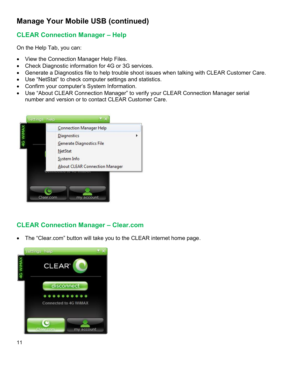### <span id="page-11-0"></span>**CLEAR Connection Manager – Help**

On the Help Tab, you can:

- View the Connection Manager Help Files.
- Check Diagnostic information for 4G or 3G services.
- Generate a Diagnostics file to help trouble shoot issues when talking with CLEAR Customer Care.
- Use "NetStat" to check computer settings and statistics.
- Confirm your computer's System Information.
- Use "About CLEAR Connection Manager" to verify your CLEAR Connection Manager serial number and version or to contact CLEAR Customer Care.



# <span id="page-11-1"></span>**CLEAR Connection Manager – Clear.com**

The "Clear.com" button will take you to the CLEAR internet home page.

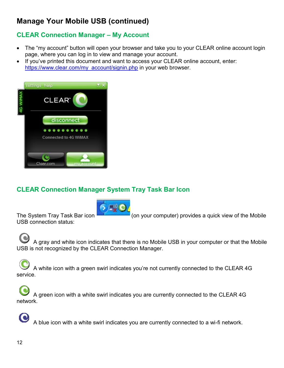# <span id="page-12-0"></span>**CLEAR Connection Manager – My Account**

- The "my account" button will open your browser and take you to your CLEAR online account login page, where you can log in to view and manage your account.
- If you've printed this document and want to access your CLEAR online account, enter: [https://www.clear.com/my\\_account/signin.php](https://www.clear.com/my_account/signin.php) in your web browser.



### <span id="page-12-1"></span>**CLEAR Connection Manager System Tray Task Bar Icon**



USB connection status:

The System Tray Task Bar icon (on your computer) provides a quick view of the Mobile

 A gray and white icon indicates that there is no Mobile USB in your computer or that the Mobile USB is not recognized by the CLEAR Connection Manager.

 A white icon with a green swirl indicates you're not currently connected to the CLEAR 4G service.

 A green icon with a white swirl indicates you are currently connected to the CLEAR 4G network.

A blue icon with a white swirl indicates you are currently connected to a wi-fi network.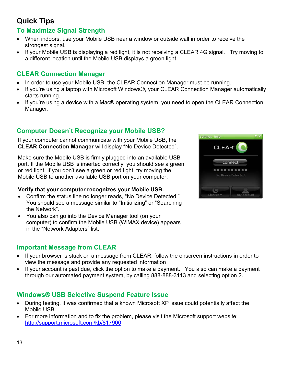# <span id="page-13-0"></span>**Quick Tips**

### <span id="page-13-1"></span>**To Maximize Signal Strength**

- When indoors, use your Mobile USB near a window or outside wall in order to receive the strongest signal.
- If your Mobile USB is displaying a red light, it is not receiving a CLEAR 4G signal. Try moving to a different location until the Mobile USB displays a green light.

#### <span id="page-13-2"></span>**CLEAR Connection Manager**

- In order to use your Mobile USB, the CLEAR Connection Manager must be running.
- If you're using a laptop with Microsoft Windows®, your CLEAR Connection Manager automatically starts running.
- If you're using a device with a Mac® operating system, you need to open the CLEAR Connection Manager.

### <span id="page-13-3"></span>**Computer Doesn't Recognize your Mobile USB?**

 If your computer cannot communicate with your Mobile USB, the **CLEAR Connection Manager** will display "No Device Detected".

Make sure the Mobile USB is firmly plugged into an available USB port. If the Mobile USB is inserted correctly, you should see a green or red light. If you don't see a green or red light, try moving the Mobile USB to another available USB port on your computer.

#### **Verify that your computer recognizes your Mobile USB.**

- Confirm the status line no longer reads, "No Device Detected." You should see a message similar to "Initializing" or "Searching the Network".
- You also can go into the Device Manager tool (on your computer) to confirm the Mobile USB (WiMAX device) appears in the "Network Adapters" list.

### <span id="page-13-4"></span>**Important Message from CLEAR**

- If your browser is stuck on a message from CLEAR, follow the onscreen instructions in order to view the message and provide any requested information
- If your account is past due, click the option to make a payment. You also can make a payment through our automated payment system, by calling 888-888-3113 and selecting option 2.

### <span id="page-13-5"></span>**Windows® USB Selective Suspend Feature Issue**

- During testing, it was confirmed that a known Microsoft XP issue could potentially affect the Mobile USB.
- For more information and to fix the problem, please visit the Microsoft support website: <http://support.microsoft.com/kb/817900>